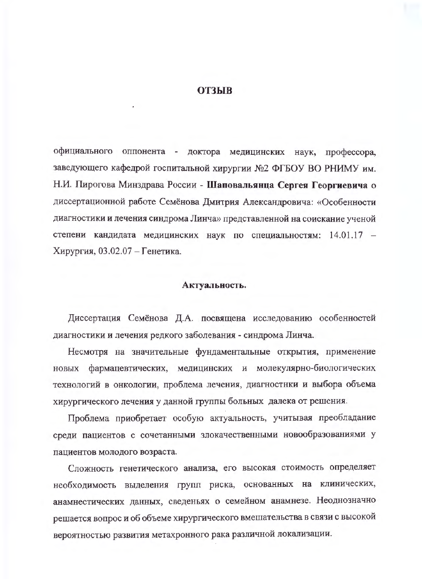## **ОТЗЫВ**

официального оппонента - доктора медицинских наук, профессора, заведующего кафедрой госпитальной хирургии №2 ФГБОУ ВО РНИМУ им. Н.И. Пирогова Минздрава России - Шаповальянца Сергея Георгиевича о диссертационной работе Семёнова Дмитрия Александровича: «Особенности диагностики и лечения синдрома Линча» представленной на соискание ученой степени кандидата медицинских наук по специальностям: 14.01.17 -Хирургия, 03.02.07 - Генетика.

### Актуальность.

Диссертация Семёнова Д.А. посвящена исследованию особенностей диагностики и лечения редкого заболевания - синдрома Линча.

Несмотря на значительные фундаментальные открытия, применение новых фармацевтических, медицинских и молекулярно-биологических технологий в онкологии, проблема лечения, диагностнки и выбора объема хирургического лечения у данной группы больных далека от решения.

Проблема приобретает особую актуальность, учитывая преобладание среди пациентов с сочетанными злокачественными новообразованиями у пациентов молодого возраста.

Сложность генетического анализа, его высокая стоимость определяет необходимость выделения групп риска, основанных на клинических, анамнестических данных, сведеньях о семейном анамнезе. Неоднозначно решается вопрос и об объеме хирургического вмешательства в связи с высокой вероятностью развития метахронного рака различной локализации.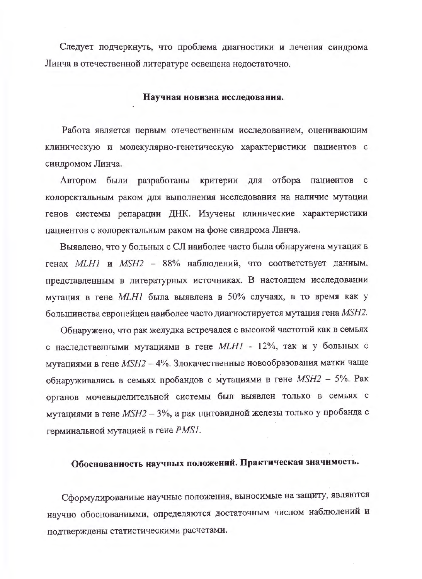Следует подчеркнуть, что проблема диагностики и лечения синдрома Линча в отечественной литературе освещена недостаточно.

#### Научная новизна исследования.

Работа является первым отечественным исследованием, оценивающим клиническую и молекулярно-генетическую характеристики пациентов с синдромом Линча.

Автором были разработаны критерин для отбора пациентов с колоректальным раком для выполнения исследования на наличие мутации генов системы репарации ДНК. Изучены клинические характеристики пациентов с колоректальным раком на фоне синдрома Линча.

Выявлено, что у больных с СЛ наиболее часто была обнаружена мутация в генах MLH1 и MSH2 - 88% наблюдений, что соответствует данным, представленным в литературных источниках. В настоящем исследовании мутация в гене МLH1 была выявлена в 50% случаях, в то время как у большинства европейцев наиболее часто диагностируется мутация гена MSH2.

Обнаружено, что рак желудка встречался с высокой частотой как в семьях с наследственными мутациями в гене МLН1 - 12%, так н у больных с мутациями в гене MSH2 - 4%. Злокачественные новообразования матки чаще обнаруживались в семьях пробандов с мутациями в гене MSH2 - 5%. Рак органов мочевыделительной системы был выявлен только в семьях с мутациями в гене MSH2 - 3%, а рак щитовидной железы только у пробанда с герминальной мутацией в гене PMS1.

## Обоснованность научных положений. Практическая значимость.

Сформулированные научные положения, выносимые на защиту, являются научно обоснованными, определяются достаточным числом наблюдений и подтверждены статистическими расчетами.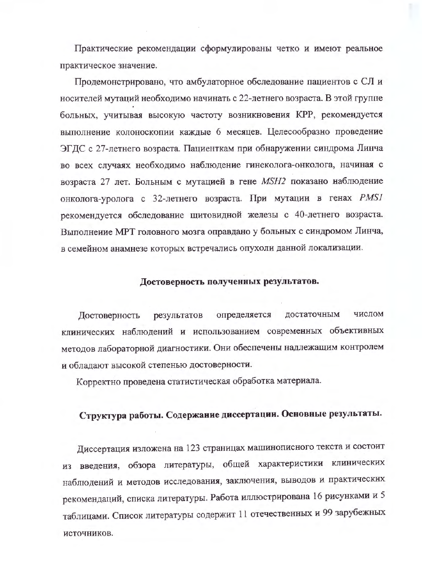Практические рекомендации сформулированы четко и имеют реальное практическое значение.

Продемонстрировано, что амбулаторное обследование пациентов с СЛ и носителей мутаций необходимо начинать с 22-летнего возраста. В этой группе больных, учитывая высокую частоту возникновения КРР, рекомендуется выполнение колоноскопии каждые 6 месяцев. Целесообразно проведение ЭГДС с 27-летнего возраста. Пациенткам при обнаружении синдрома Линча во всех случаях необходимо наблюдение гинеколога-онколога, начиная с возраста 27 лет. Больным с мутацией в гене MSH2 показано наблюдение онколога-уролога с 32-летнего возраста. При мутации в генах PMSI рекомендуется обследование щитовидной железы с 40-летнего возраста. Выполнеиие МРТ головного мозга оправдано у больных с синдромом Линча, в семейном анамнезе которых встречались опухоли данной локализации.

## Достоверность полученных результатов.

числом определяется лостаточным Достоверность результатов клинических наблюдений и использованием современных объективных методов лабораторной диагностики. Они обеспечены надлежащим контролем и обладают высокой степенью достоверности.

Корректно проведена статистическая обработка материала.

# Структура работы. Содержание диссертации. Основные результаты.

Диссертация изложена на 123 страницах машинописного текста и состоит из введения, обзора литературы, общей характеристики клинических наблюдений и методов исследования, заключения, выводов и практических рекомендаций, списка литературы. Работа иллюстрирована 16 рисунками и 5 таблицами. Список литературы содержит 11 отечественных и 99 зарубежных источников.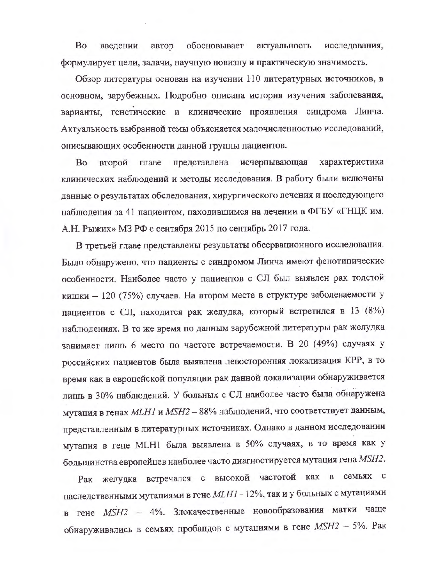Bo обосновывает введении автор актуальность исследования, формулирует цели, задачи, научную новизну и практическую значимость.

Обзор литературы основан на изучении 110 литературных источников, в основном, зарубежных. Подробно описана история изучения заболевания, варианты, генетические и клинические проявления синдрома Линча. Актуальность выбранной темы объясняется малочисленностью исследований, описывающих особенности данной группы пациентов.

исчерпывающая характеристика Bo второй главе представлена клинических наблюдений и методы исследования. В работу были включены данные о результатах обследования, хирургического лечения и последующего наблюдения за 41 пациентом, находившимся на лечении в ФГБУ «ГНЦК им. А.Н. Рыжих» МЗ РФ с сентября 2015 по сентябрь 2017 года.

В третьей главе представлены результаты обсервационного исследования. Было обнаружено, что пациенты с синдромом Линча имеют фенотипические особенности. Наиболее часто у пациентов с СЛ был выявлен рак толстой кишки - 120 (75%) случаев. На втором месте в структуре заболеваемости у пациентов с СЛ, находится рак желудка, который встретился в 13 (8%) наблюдениях. В то же время по данным зарубежной литературы рак желудка занимает лишь 6 место по частоте встречаемости. В 20 (49%) случаях у российских пациентов была выявлена левосторонняя локализация КРР, в то время как в европейской популяции рак данной локализации обнаруживается лишь в 30% наблюдений. У больных с СЛ наиболее часто была обнаружена мутация в генах MLH1 и MSH2 - 88% наблюдений, что соответствует данным, представленным в литературных источниках. Однако в данном исследовании мутация в гене MLH1 была выявлена в 50% случаях, в то время как у большинства европейцев наиболее часто диагностируется мутация гена MSH2.

Рак желудка встречался с высокой частотой как в семьях с наследственными мутациями в гене МLН1 - 12%, так и у больных с мутациями в гене MSH2 - 4%. Злокачественные новообразования матки чаще обиаруживались в семьях пробандов с мутациями в гене MSH2 - 5%. Рак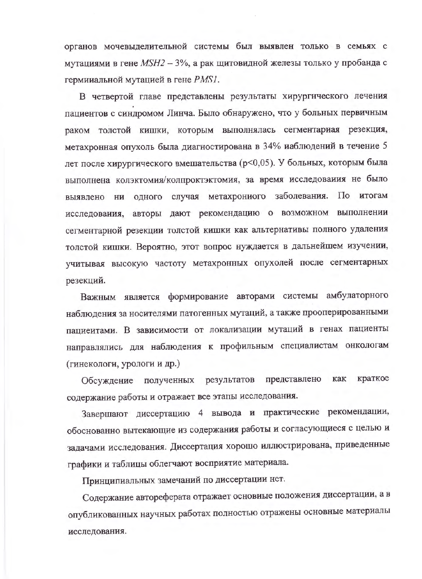органов мочевыделительной системы был выявлен только в семьях с мутациями в гене MSH2 - 3%, а рак щитовидной железы только у пробанда с гермииальной мутацией в гене PMS1.

В четвертой главе представлены результаты хирургического лечения пациентов с синдромом Линча. Было обнаружено, что у больных первичным раком толстой кишки, которым выполнялась сегментариая резекция, метахронная опухоль была диагностирована в 34% иаблюдений в течение 5 лет после хирургического вмешательства (р<0,05). У больных, которым была выполнена колэктомия/колпроктэктомия, за время исследования не было выявлено ни одного случая метахрониого заболевания. По итогам исследования, авторы дают рекомендацию о возможном выполнении сегментарной резекции толстой кишки как альтернативы полного удаления толстой кишки. Вероятно, этот вопрос нуждается в дальнейшем изучении, учитывая высокую частоту метахронных опухолей после сегментарных резекций.

Важным является формирование авторами системы амбулаторного наблюдения за носителями патогенных мутаций, а также прооперированными пациентами. В зависимости от локализации мутаций в генах пациенты направлялись для наблюдения к профильным специалистам онкологам (гинекологи, урологи и др.)

представлено как краткое Обсуждение полученных результатов содержание работы и отражает все этапы исследования.

Завершают диссертацию 4 вывода и практические рекомендации, обоснованно вытекающие из содержания работы и согласующиеся с целью и задачами исследования. Дисеертация хорошо иллюстрирована, приведенные графики и таблицы облегчают восприятие материала.

Принципиальных замечаний по диссертации нет.

Содержание автореферата отражает основиые положения диссертации, а в опубликованных научных работах полностью отражены основные материалы иеследования.